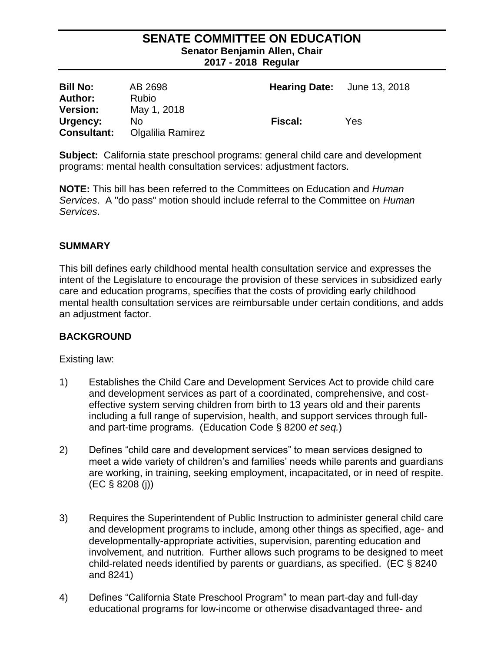#### **SENATE COMMITTEE ON EDUCATION Senator Benjamin Allen, Chair 2017 - 2018 Regular**

| <b>Bill No:</b>    | AB 2698           | <b>Hearing Date:</b> June 13, 2018 |     |
|--------------------|-------------------|------------------------------------|-----|
| <b>Author:</b>     | <b>Rubio</b>      |                                    |     |
| <b>Version:</b>    | May 1, 2018       |                                    |     |
| Urgency:           | No.               | Fiscal:                            | Yes |
| <b>Consultant:</b> | Olgalilia Ramirez |                                    |     |

**Subject:** California state preschool programs: general child care and development programs: mental health consultation services: adjustment factors.

**NOTE:** This bill has been referred to the Committees on Education and *Human Services*. A "do pass" motion should include referral to the Committee on *Human Services*.

#### **SUMMARY**

This bill defines early childhood mental health consultation service and expresses the intent of the Legislature to encourage the provision of these services in subsidized early care and education programs, specifies that the costs of providing early childhood mental health consultation services are reimbursable under certain conditions, and adds an adjustment factor.

## **BACKGROUND**

Existing law:

- 1) Establishes the Child Care and Development Services Act to provide child care and development services as part of a coordinated, comprehensive, and costeffective system serving children from birth to 13 years old and their parents including a full range of supervision, health, and support services through fulland part-time programs. (Education Code § 8200 *et seq.*)
- 2) Defines "child care and development services" to mean services designed to meet a wide variety of children's and families' needs while parents and guardians are working, in training, seeking employment, incapacitated, or in need of respite. (EC § 8208 (j))
- 3) Requires the Superintendent of Public Instruction to administer general child care and development programs to include, among other things as specified, age- and developmentally-appropriate activities, supervision, parenting education and involvement, and nutrition. Further allows such programs to be designed to meet child-related needs identified by parents or guardians, as specified. (EC § 8240 and 8241)
- 4) Defines "California State Preschool Program" to mean part-day and full-day educational programs for low-income or otherwise disadvantaged three- and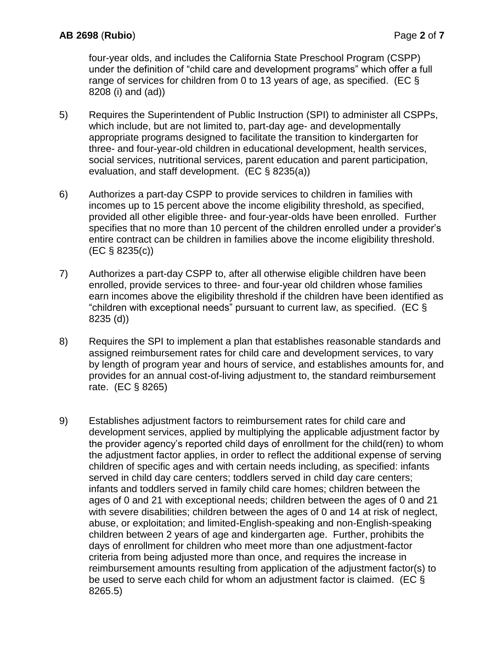four-year olds, and includes the California State Preschool Program (CSPP) under the definition of "child care and development programs" which offer a full range of services for children from 0 to 13 years of age, as specified. (EC  $\S$ 8208 (i) and (ad))

- 5) Requires the Superintendent of Public Instruction (SPI) to administer all CSPPs, which include, but are not limited to, part-day age- and developmentally appropriate programs designed to facilitate the transition to kindergarten for three- and four-year-old children in educational development, health services, social services, nutritional services, parent education and parent participation, evaluation, and staff development. (EC § 8235(a))
- 6) Authorizes a part-day CSPP to provide services to children in families with incomes up to 15 percent above the income eligibility threshold, as specified, provided all other eligible three- and four-year-olds have been enrolled. Further specifies that no more than 10 percent of the children enrolled under a provider's entire contract can be children in families above the income eligibility threshold. (EC § 8235(c))
- 7) Authorizes a part-day CSPP to, after all otherwise eligible children have been enrolled, provide services to three- and four-year old children whose families earn incomes above the eligibility threshold if the children have been identified as "children with exceptional needs" pursuant to current law, as specified. (EC  $\S$ 8235 (d))
- 8) Requires the SPI to implement a plan that establishes reasonable standards and assigned reimbursement rates for child care and development services, to vary by length of program year and hours of service, and establishes amounts for, and provides for an annual cost-of-living adjustment to, the standard reimbursement rate. (EC § 8265)
- 9) Establishes adjustment factors to reimbursement rates for child care and development services, applied by multiplying the applicable adjustment factor by the provider agency's reported child days of enrollment for the child(ren) to whom the adjustment factor applies, in order to reflect the additional expense of serving children of specific ages and with certain needs including, as specified: infants served in child day care centers; toddlers served in child day care centers; infants and toddlers served in family child care homes; children between the ages of 0 and 21 with exceptional needs; children between the ages of 0 and 21 with severe disabilities; children between the ages of 0 and 14 at risk of neglect, abuse, or exploitation; and limited-English-speaking and non-English-speaking children between 2 years of age and kindergarten age. Further, prohibits the days of enrollment for children who meet more than one adjustment-factor criteria from being adjusted more than once, and requires the increase in reimbursement amounts resulting from application of the adjustment factor(s) to be used to serve each child for whom an adjustment factor is claimed. (EC § 8265.5)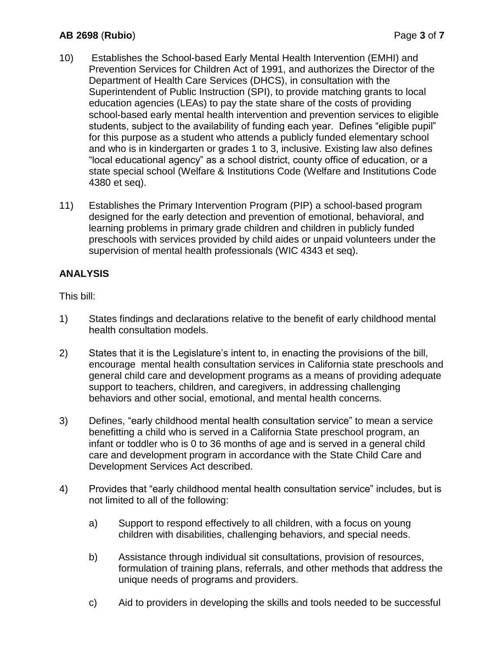## **AB 2698** (**Rubio**) Page **3** of **7**

- 10) Establishes the School-based Early Mental Health Intervention (EMHI) and Prevention Services for Children Act of 1991, and authorizes the Director of the Department of Health Care Services (DHCS), in consultation with the Superintendent of Public Instruction (SPI), to provide matching grants to local education agencies (LEAs) to pay the state share of the costs of providing school-based early mental health intervention and prevention services to eligible students, subject to the availability of funding each year. Defines "eligible pupil" for this purpose as a student who attends a publicly funded elementary school and who is in kindergarten or grades 1 to 3, inclusive. Existing law also defines "local educational agency" as a school district, county office of education, or a state special school (Welfare & Institutions Code (Welfare and Institutions Code 4380 et seq).
- 11) Establishes the Primary Intervention Program (PIP) a school-based program designed for the early detection and prevention of emotional, behavioral, and learning problems in primary grade children and children in publicly funded preschools with services provided by child aides or unpaid volunteers under the supervision of mental health professionals (WIC 4343 et seq).

## **ANALYSIS**

This bill:

- 1) States findings and declarations relative to the benefit of early childhood mental health consultation models.
- 2) States that it is the Legislature's intent to, in enacting the provisions of the bill, encourage mental health consultation services in California state preschools and general child care and development programs as a means of providing adequate support to teachers, children, and caregivers, in addressing challenging behaviors and other social, emotional, and mental health concerns.
- 3) Defines, "early childhood mental health consultation service" to mean a service benefitting a child who is served in a California State preschool program, an infant or toddler who is 0 to 36 months of age and is served in a general child care and development program in accordance with the State Child Care and Development Services Act described.
- 4) Provides that "early childhood mental health consultation service" includes, but is not limited to all of the following:
	- a) Support to respond effectively to all children, with a focus on young children with disabilities, challenging behaviors, and special needs.
	- b) Assistance through individual sit consultations, provision of resources, formulation of training plans, referrals, and other methods that address the unique needs of programs and providers.
	- c) Aid to providers in developing the skills and tools needed to be successful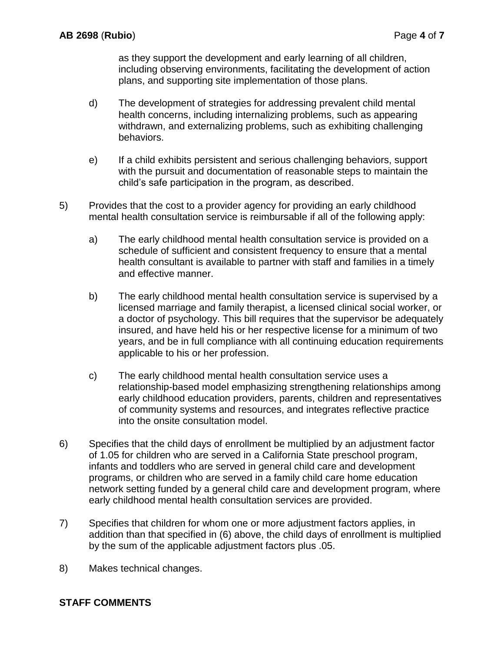as they support the development and early learning of all children, including observing environments, facilitating the development of action plans, and supporting site implementation of those plans.

- d) The development of strategies for addressing prevalent child mental health concerns, including internalizing problems, such as appearing withdrawn, and externalizing problems, such as exhibiting challenging behaviors.
- e) If a child exhibits persistent and serious challenging behaviors, support with the pursuit and documentation of reasonable steps to maintain the child's safe participation in the program, as described.
- 5) Provides that the cost to a provider agency for providing an early childhood mental health consultation service is reimbursable if all of the following apply:
	- a) The early childhood mental health consultation service is provided on a schedule of sufficient and consistent frequency to ensure that a mental health consultant is available to partner with staff and families in a timely and effective manner.
	- b) The early childhood mental health consultation service is supervised by a licensed marriage and family therapist, a licensed clinical social worker, or a doctor of psychology. This bill requires that the supervisor be adequately insured, and have held his or her respective license for a minimum of two years, and be in full compliance with all continuing education requirements applicable to his or her profession.
	- c) The early childhood mental health consultation service uses a relationship-based model emphasizing strengthening relationships among early childhood education providers, parents, children and representatives of community systems and resources, and integrates reflective practice into the onsite consultation model.
- 6) Specifies that the child days of enrollment be multiplied by an adjustment factor of 1.05 for children who are served in a California State preschool program, infants and toddlers who are served in general child care and development programs, or children who are served in a family child care home education network setting funded by a general child care and development program, where early childhood mental health consultation services are provided.
- 7) Specifies that children for whom one or more adjustment factors applies, in addition than that specified in (6) above, the child days of enrollment is multiplied by the sum of the applicable adjustment factors plus .05.
- 8) Makes technical changes.

## **STAFF COMMENTS**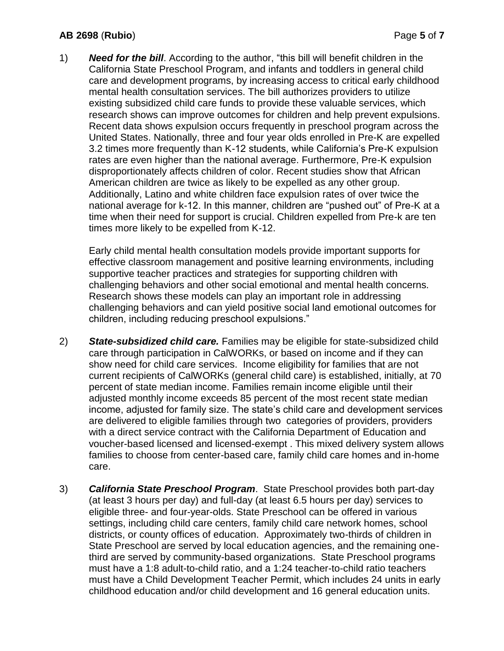#### **AB 2698** (**Rubio**) Page **5** of **7**

1) *Need for the bill*. According to the author, "this bill will benefit children in the California State Preschool Program, and infants and toddlers in general child care and development programs, by increasing access to critical early childhood mental health consultation services. The bill authorizes providers to utilize existing subsidized child care funds to provide these valuable services, which research shows can improve outcomes for children and help prevent expulsions. Recent data shows expulsion occurs frequently in preschool program across the United States. Nationally, three and four year olds enrolled in Pre-K are expelled 3.2 times more frequently than K-12 students, while California's Pre-K expulsion rates are even higher than the national average. Furthermore, Pre-K expulsion disproportionately affects children of color. Recent studies show that African American children are twice as likely to be expelled as any other group. Additionally, Latino and white children face expulsion rates of over twice the national average for k-12. In this manner, children are "pushed out" of Pre-K at a time when their need for support is crucial. Children expelled from Pre-k are ten times more likely to be expelled from K-12.

Early child mental health consultation models provide important supports for effective classroom management and positive learning environments, including supportive teacher practices and strategies for supporting children with challenging behaviors and other social emotional and mental health concerns. Research shows these models can play an important role in addressing challenging behaviors and can yield positive social land emotional outcomes for children, including reducing preschool expulsions."

- 2) *State-subsidized child care.* Families may be eligible for state-subsidized child care through participation in CalWORKs, or based on income and if they can show need for child care services. Income eligibility for families that are not current recipients of CalWORKs (general child care) is established, initially, at 70 percent of state median income. Families remain income eligible until their adjusted monthly income exceeds 85 percent of the most recent state median income, adjusted for family size. The state's child care and development services are delivered to eligible families through two categories of providers, providers with a direct service contract with the California Department of Education and voucher-based licensed and licensed-exempt . This mixed delivery system allows families to choose from center-based care, family child care homes and in-home care.
- 3) *California State Preschool Program*. State Preschool provides both part-day (at least 3 hours per day) and full-day (at least 6.5 hours per day) services to eligible three- and four-year-olds. State Preschool can be offered in various settings, including child care centers, family child care network homes, school districts, or county offices of education. Approximately two-thirds of children in State Preschool are served by local education agencies, and the remaining onethird are served by community-based organizations. State Preschool programs must have a 1:8 adult-to-child ratio, and a 1:24 teacher-to-child ratio teachers must have a Child Development Teacher Permit, which includes 24 units in early childhood education and/or child development and 16 general education units.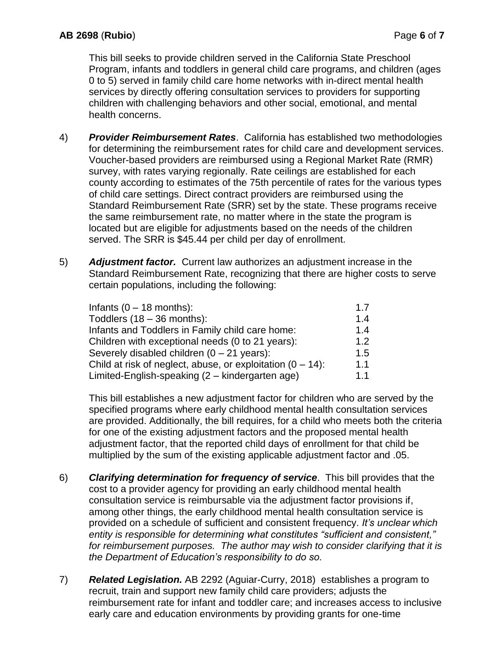This bill seeks to provide children served in the California State Preschool Program, infants and toddlers in general child care programs, and children (ages 0 to 5) served in family child care home networks with in-direct mental health services by directly offering consultation services to providers for supporting children with challenging behaviors and other social, emotional, and mental health concerns.

- 4) *Provider Reimbursement Rates*. California has established two methodologies for determining the reimbursement rates for child care and development services. Voucher-based providers are reimbursed using a Regional Market Rate (RMR) survey, with rates varying regionally. Rate ceilings are established for each county according to estimates of the 75th percentile of rates for the various types of child care settings. Direct contract providers are reimbursed using the Standard Reimbursement Rate (SRR) set by the state. These programs receive the same reimbursement rate, no matter where in the state the program is located but are eligible for adjustments based on the needs of the children served. The SRR is \$45.44 per child per day of enrollment.
- 5) *Adjustment factor.* Current law authorizes an adjustment increase in the Standard Reimbursement Rate, recognizing that there are higher costs to serve certain populations, including the following:

| Infants $(0 - 18$ months):                                    | 1.7 |
|---------------------------------------------------------------|-----|
| Toddlers $(18 - 36$ months):                                  | 1.4 |
| Infants and Toddlers in Family child care home:               | 1.4 |
| Children with exceptional needs (0 to 21 years):              | 1.2 |
| Severely disabled children $(0 - 21$ years):                  | 1.5 |
| Child at risk of neglect, abuse, or exploitation $(0 - 14)$ : | 1.1 |
| Limited-English-speaking (2 – kindergarten age)               | 1.1 |
|                                                               |     |

This bill establishes a new adjustment factor for children who are served by the specified programs where early childhood mental health consultation services are provided. Additionally, the bill requires, for a child who meets both the criteria for one of the existing adjustment factors and the proposed mental health adjustment factor, that the reported child days of enrollment for that child be multiplied by the sum of the existing applicable adjustment factor and .05.

- 6) *Clarifying determination for frequency of service*. This bill provides that the cost to a provider agency for providing an early childhood mental health consultation service is reimbursable via the adjustment factor provisions if, among other things, the early childhood mental health consultation service is provided on a schedule of sufficient and consistent frequency. *It's unclear which entity is responsible for determining what constitutes "sufficient and consistent," for reimbursement purposes. The author may wish to consider clarifying that it is the Department of Education's responsibility to do so.*
- 7) *Related Legislation.* AB 2292 (Aguiar-Curry, 2018) establishes a program to recruit, train and support new family child care providers; adjusts the reimbursement rate for infant and toddler care; and increases access to inclusive early care and education environments by providing grants for one-time